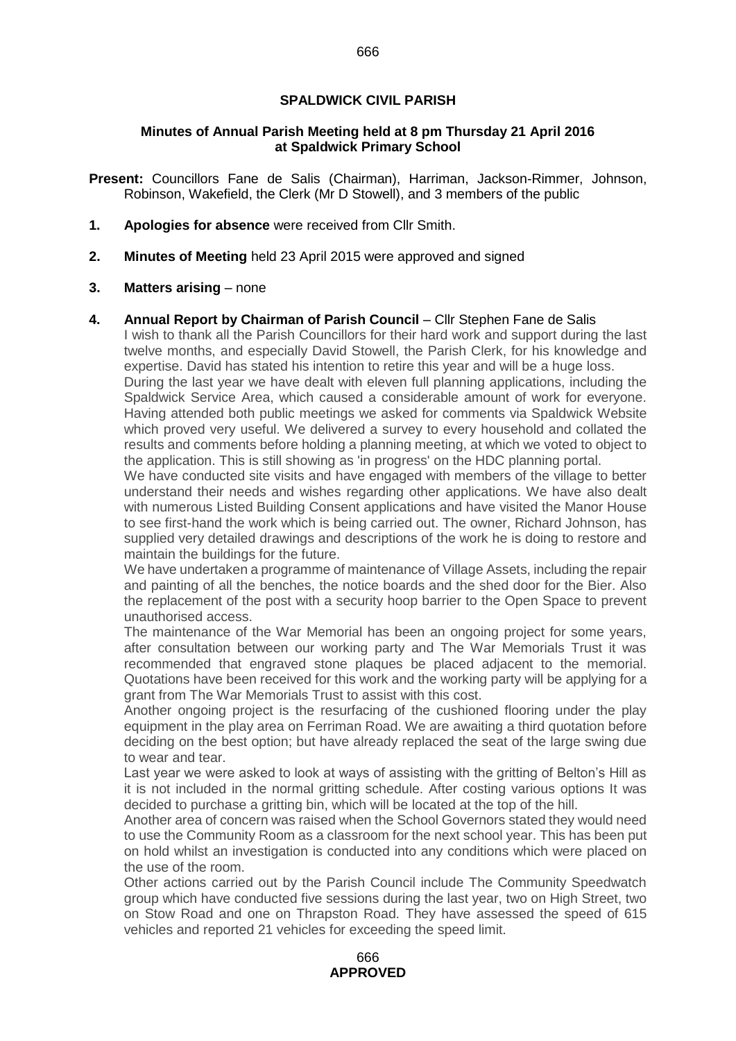# **SPALDWICK CIVIL PARISH**

## **Minutes of Annual Parish Meeting held at 8 pm Thursday 21 April 2016 at Spaldwick Primary School**

**Present:** Councillors Fane de Salis (Chairman), Harriman, Jackson-Rimmer, Johnson, Robinson, Wakefield, the Clerk (Mr D Stowell), and 3 members of the public

- **1. Apologies for absence** were received from Cllr Smith.
- **2. Minutes of Meeting** held 23 April 2015 were approved and signed

## **3.** Matters arising – none

**4. Annual Report by Chairman of Parish Council** – Cllr Stephen Fane de Salis

I wish to thank all the Parish Councillors for their hard work and support during the last twelve months, and especially David Stowell, the Parish Clerk, for his knowledge and expertise. David has stated his intention to retire this year and will be a huge loss. During the last year we have dealt with eleven full planning applications, including the Spaldwick Service Area, which caused a considerable amount of work for everyone. Having attended both public meetings we asked for comments via Spaldwick Website which proved very useful. We delivered a survey to every household and collated the results and comments before holding a planning meeting, at which we voted to object to the application. This is still showing as 'in progress' on the HDC planning portal.

We have conducted site visits and have engaged with members of the village to better understand their needs and wishes regarding other applications. We have also dealt with numerous Listed Building Consent applications and have visited the Manor House to see first-hand the work which is being carried out. The owner, Richard Johnson, has supplied very detailed drawings and descriptions of the work he is doing to restore and maintain the buildings for the future.

We have undertaken a programme of maintenance of Village Assets, including the repair and painting of all the benches, the notice boards and the shed door for the Bier. Also the replacement of the post with a security hoop barrier to the Open Space to prevent unauthorised access.

The maintenance of the War Memorial has been an ongoing project for some years, after consultation between our working party and The War Memorials Trust it was recommended that engraved stone plaques be placed adjacent to the memorial. Quotations have been received for this work and the working party will be applying for a grant from The War Memorials Trust to assist with this cost.

Another ongoing project is the resurfacing of the cushioned flooring under the play equipment in the play area on Ferriman Road. We are awaiting a third quotation before deciding on the best option; but have already replaced the seat of the large swing due to wear and tear.

Last year we were asked to look at ways of assisting with the gritting of Belton's Hill as it is not included in the normal gritting schedule. After costing various options It was decided to purchase a gritting bin, which will be located at the top of the hill.

Another area of concern was raised when the School Governors stated they would need to use the Community Room as a classroom for the next school year. This has been put on hold whilst an investigation is conducted into any conditions which were placed on the use of the room.

Other actions carried out by the Parish Council include The Community Speedwatch group which have conducted five sessions during the last year, two on High Street, two on Stow Road and one on Thrapston Road. They have assessed the speed of 615 vehicles and reported 21 vehicles for exceeding the speed limit.

666 **APPROVED**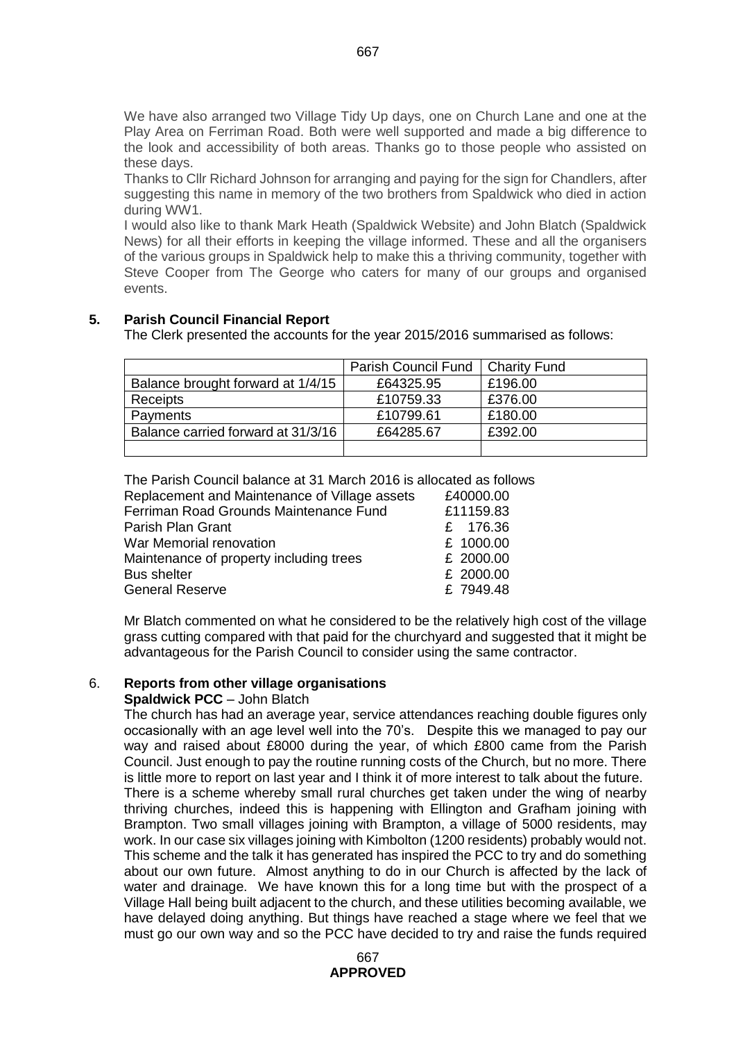We have also arranged two Village Tidy Up days, one on Church Lane and one at the Play Area on Ferriman Road. Both were well supported and made a big difference to the look and accessibility of both areas. Thanks go to those people who assisted on these days.

Thanks to Cllr Richard Johnson for arranging and paying for the sign for Chandlers, after suggesting this name in memory of the two brothers from Spaldwick who died in action during WW1.

I would also like to thank Mark Heath (Spaldwick Website) and John Blatch (Spaldwick News) for all their efforts in keeping the village informed. These and all the organisers of the various groups in Spaldwick help to make this a thriving community, together with Steve Cooper from The George who caters for many of our groups and organised events.

# **5. Parish Council Financial Report**

The Clerk presented the accounts for the year 2015/2016 summarised as follows:

|                                    | Parish Council Fund | Charity Fund |
|------------------------------------|---------------------|--------------|
| Balance brought forward at 1/4/15  | £64325.95           | £196.00      |
| Receipts                           | £10759.33           | £376.00      |
| Payments                           | £10799.61           | £180.00      |
| Balance carried forward at 31/3/16 | £64285.67           | £392.00      |
|                                    |                     |              |

The Parish Council balance at 31 March 2016 is allocated as follows

| Replacement and Maintenance of Village assets | £40000.00 |
|-----------------------------------------------|-----------|
| Ferriman Road Grounds Maintenance Fund        | £11159.83 |
| Parish Plan Grant                             | £ 176.36  |
| War Memorial renovation                       | £ 1000.00 |
| Maintenance of property including trees       | £ 2000.00 |
| <b>Bus shelter</b>                            | £ 2000.00 |
| <b>General Reserve</b>                        | £ 7949.48 |
|                                               |           |

Mr Blatch commented on what he considered to be the relatively high cost of the village grass cutting compared with that paid for the churchyard and suggested that it might be advantageous for the Parish Council to consider using the same contractor.

# 6. **Reports from other village organisations**

# **Spaldwick PCC** – John Blatch

The church has had an average year, service attendances reaching double figures only occasionally with an age level well into the 70's. Despite this we managed to pay our way and raised about £8000 during the year, of which £800 came from the Parish Council. Just enough to pay the routine running costs of the Church, but no more. There is little more to report on last year and I think it of more interest to talk about the future. There is a scheme whereby small rural churches get taken under the wing of nearby thriving churches, indeed this is happening with Ellington and Grafham joining with Brampton. Two small villages joining with Brampton, a village of 5000 residents, may work. In our case six villages joining with Kimbolton (1200 residents) probably would not. This scheme and the talk it has generated has inspired the PCC to try and do something about our own future. Almost anything to do in our Church is affected by the lack of water and drainage. We have known this for a long time but with the prospect of a Village Hall being built adjacent to the church, and these utilities becoming available, we have delayed doing anything. But things have reached a stage where we feel that we must go our own way and so the PCC have decided to try and raise the funds required

667

667 **APPROVED**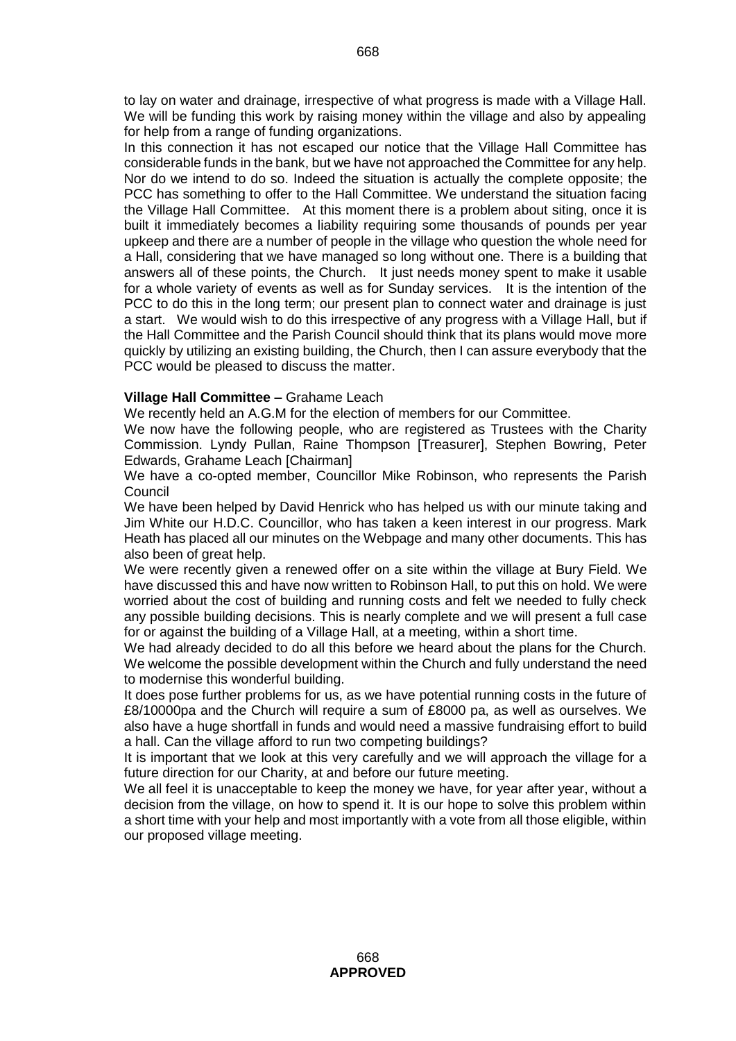to lay on water and drainage, irrespective of what progress is made with a Village Hall. We will be funding this work by raising money within the village and also by appealing for help from a range of funding organizations.

In this connection it has not escaped our notice that the Village Hall Committee has considerable funds in the bank, but we have not approached the Committee for any help. Nor do we intend to do so. Indeed the situation is actually the complete opposite; the PCC has something to offer to the Hall Committee. We understand the situation facing the Village Hall Committee. At this moment there is a problem about siting, once it is built it immediately becomes a liability requiring some thousands of pounds per year upkeep and there are a number of people in the village who question the whole need for a Hall, considering that we have managed so long without one. There is a building that answers all of these points, the Church. It just needs money spent to make it usable for a whole variety of events as well as for Sunday services. It is the intention of the PCC to do this in the long term; our present plan to connect water and drainage is just a start. We would wish to do this irrespective of any progress with a Village Hall, but if the Hall Committee and the Parish Council should think that its plans would move more quickly by utilizing an existing building, the Church, then I can assure everybody that the PCC would be pleased to discuss the matter.

# **Village Hall Committee –** Grahame Leach

We recently held an A.G.M for the election of members for our Committee.

We now have the following people, who are registered as Trustees with the Charity Commission. Lyndy Pullan, Raine Thompson [Treasurer], Stephen Bowring, Peter Edwards, Grahame Leach [Chairman]

We have a co-opted member, Councillor Mike Robinson, who represents the Parish Council

We have been helped by David Henrick who has helped us with our minute taking and Jim White our H.D.C. Councillor, who has taken a keen interest in our progress. Mark Heath has placed all our minutes on the Webpage and many other documents. This has also been of great help.

We were recently given a renewed offer on a site within the village at Bury Field. We have discussed this and have now written to Robinson Hall, to put this on hold. We were worried about the cost of building and running costs and felt we needed to fully check any possible building decisions. This is nearly complete and we will present a full case for or against the building of a Village Hall, at a meeting, within a short time.

We had already decided to do all this before we heard about the plans for the Church. We welcome the possible development within the Church and fully understand the need to modernise this wonderful building.

It does pose further problems for us, as we have potential running costs in the future of £8/10000pa and the Church will require a sum of £8000 pa, as well as ourselves. We also have a huge shortfall in funds and would need a massive fundraising effort to build a hall. Can the village afford to run two competing buildings?

It is important that we look at this very carefully and we will approach the village for a future direction for our Charity, at and before our future meeting.

We all feel it is unacceptable to keep the money we have, for year after year, without a decision from the village, on how to spend it. It is our hope to solve this problem within a short time with your help and most importantly with a vote from all those eligible, within our proposed village meeting.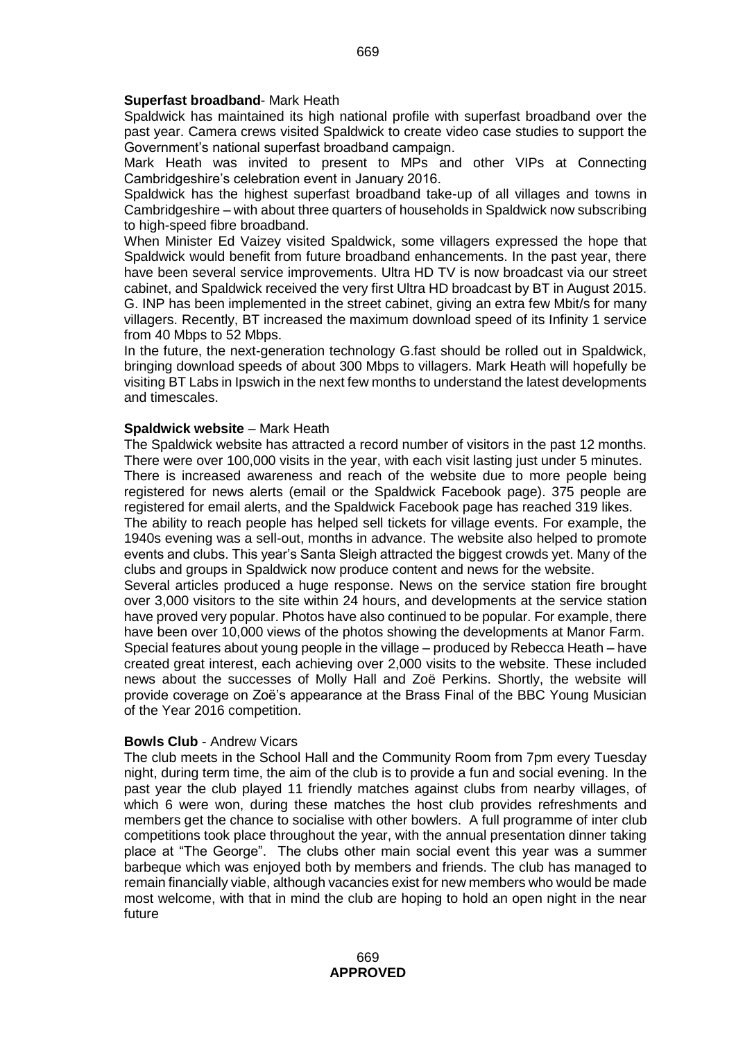#### **Superfast broadband**- Mark Heath

Spaldwick has maintained its high national profile with superfast broadband over the past year. Camera crews visited Spaldwick to create video case studies to support the Government's national superfast broadband campaign.

Mark Heath was invited to present to MPs and other VIPs at Connecting Cambridgeshire's celebration event in January 2016.

Spaldwick has the highest superfast broadband take-up of all villages and towns in Cambridgeshire – with about three quarters of households in Spaldwick now subscribing to high-speed fibre broadband.

When Minister Ed Vaizey visited Spaldwick, some villagers expressed the hope that Spaldwick would benefit from future broadband enhancements. In the past year, there have been several service improvements. Ultra HD TV is now broadcast via our street cabinet, and Spaldwick received the very first Ultra HD broadcast by BT in August 2015. G. INP has been implemented in the street cabinet, giving an extra few Mbit/s for many villagers. Recently, BT increased the maximum download speed of its Infinity 1 service from 40 Mbps to 52 Mbps.

In the future, the next-generation technology G.fast should be rolled out in Spaldwick, bringing download speeds of about 300 Mbps to villagers. Mark Heath will hopefully be visiting BT Labs in Ipswich in the next few months to understand the latest developments and timescales.

#### **Spaldwick website** – Mark Heath

The Spaldwick website has attracted a record number of visitors in the past 12 months. There were over 100,000 visits in the year, with each visit lasting just under 5 minutes. There is increased awareness and reach of the website due to more people being

registered for news alerts (email or the Spaldwick Facebook page). 375 people are registered for email alerts, and the Spaldwick Facebook page has reached 319 likes.

The ability to reach people has helped sell tickets for village events. For example, the 1940s evening was a sell-out, months in advance. The website also helped to promote events and clubs. This year's Santa Sleigh attracted the biggest crowds yet. Many of the clubs and groups in Spaldwick now produce content and news for the website.

Several articles produced a huge response. News on the service station fire brought over 3,000 visitors to the site within 24 hours, and developments at the service station have proved very popular. Photos have also continued to be popular. For example, there have been over 10,000 views of the photos showing the developments at Manor Farm. Special features about young people in the village – produced by Rebecca Heath – have created great interest, each achieving over 2,000 visits to the website. These included news about the successes of Molly Hall and Zoë Perkins. Shortly, the website will provide coverage on Zoë's appearance at the Brass Final of the BBC Young Musician of the Year 2016 competition.

#### **Bowls Club** - Andrew Vicars

The club meets in the School Hall and the Community Room from 7pm every Tuesday night, during term time, the aim of the club is to provide a fun and social evening. In the past year the club played 11 friendly matches against clubs from nearby villages, of which 6 were won, during these matches the host club provides refreshments and members get the chance to socialise with other bowlers. A full programme of inter club competitions took place throughout the year, with the annual presentation dinner taking place at "The George". The clubs other main social event this year was a summer barbeque which was enjoyed both by members and friends. The club has managed to remain financially viable, although vacancies exist for new members who would be made most welcome, with that in mind the club are hoping to hold an open night in the near future